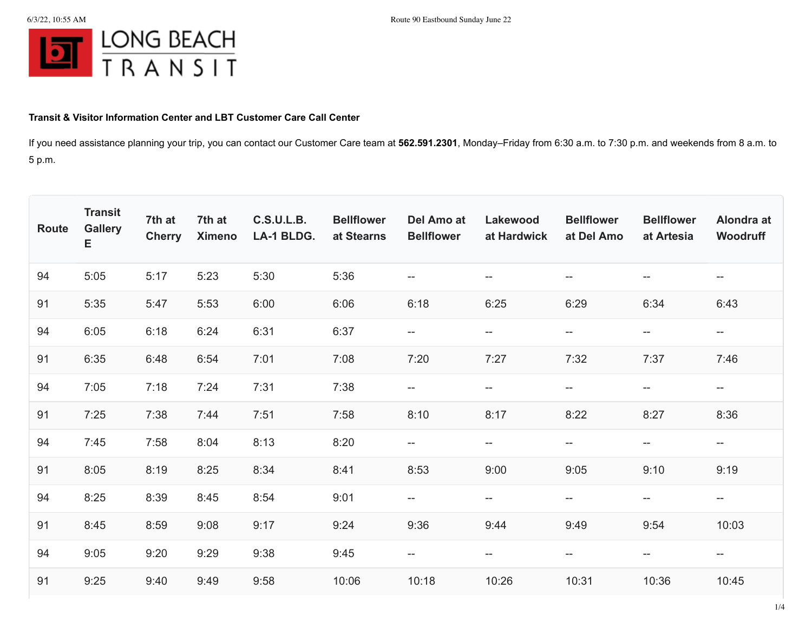

## **Transit & Visitor Information Center and LBT Customer Care Call Center**

If you need assistance planning your trip, you can contact our Customer Care team at **562.591.2301**, Monday–Friday from 6:30 a.m. to 7:30 p.m. and weekends from 8 a.m. to 5 p.m.

| Route | <b>Transit</b><br><b>Gallery</b><br>E | 7th at<br><b>Cherry</b> | 7th at<br><b>Ximeno</b> | <b>C.S.U.L.B.</b><br><b>LA-1 BLDG.</b> | <b>Bellflower</b><br>at Stearns | Del Amo at<br><b>Bellflower</b> | Lakewood<br>at Hardwick                             | <b>Bellflower</b><br>at Del Amo                     | <b>Bellflower</b><br>at Artesia                     | Alondra at<br>Woodruff                              |
|-------|---------------------------------------|-------------------------|-------------------------|----------------------------------------|---------------------------------|---------------------------------|-----------------------------------------------------|-----------------------------------------------------|-----------------------------------------------------|-----------------------------------------------------|
| 94    | 5:05                                  | 5:17                    | 5:23                    | 5:30                                   | 5:36                            | $\overline{\phantom{m}}$        | $\overline{\phantom{a}}$                            | $\overline{\phantom{a}}$                            | --                                                  | $\overline{\phantom{m}}$                            |
| 91    | 5:35                                  | 5:47                    | 5:53                    | 6:00                                   | 6:06                            | 6:18                            | 6:25                                                | 6:29                                                | 6:34                                                | 6:43                                                |
| 94    | 6:05                                  | 6:18                    | 6:24                    | 6:31                                   | 6:37                            | $- -$                           | $- -$                                               | $\overline{\phantom{m}}$                            | $\overline{\phantom{m}}$                            | $-\!$                                               |
| 91    | 6:35                                  | 6:48                    | 6:54                    | 7:01                                   | 7:08                            | 7:20                            | 7:27                                                | 7:32                                                | 7:37                                                | 7:46                                                |
| 94    | 7:05                                  | 7:18                    | 7:24                    | 7:31                                   | 7:38                            | $\overline{\phantom{a}}$        | $-\!$                                               | $-\!$                                               | $\hspace{0.05cm} -\hspace{0.05cm} -\hspace{0.05cm}$ | $-\!$                                               |
| 91    | 7:25                                  | 7:38                    | 7:44                    | 7:51                                   | 7:58                            | 8:10                            | 8:17                                                | 8:22                                                | 8:27                                                | 8:36                                                |
| 94    | 7:45                                  | 7:58                    | 8:04                    | 8:13                                   | 8:20                            | $-\!$                           | $\hspace{0.05cm} -\hspace{0.05cm} -\hspace{0.05cm}$ | $\hspace{0.05cm} -\hspace{0.05cm} -\hspace{0.05cm}$ | --                                                  | $\hspace{0.05cm} -\hspace{0.05cm} -\hspace{0.05cm}$ |
| 91    | 8:05                                  | 8:19                    | 8:25                    | 8:34                                   | 8:41                            | 8:53                            | 9:00                                                | 9:05                                                | 9:10                                                | 9:19                                                |
| 94    | 8:25                                  | 8:39                    | 8:45                    | 8:54                                   | 9:01                            | $- -$                           | $\overline{\phantom{m}}$                            | $\overline{\phantom{m}}$                            | $- -$                                               | $- -$                                               |
| 91    | 8:45                                  | 8:59                    | 9:08                    | 9:17                                   | 9:24                            | 9:36                            | 9:44                                                | 9:49                                                | 9:54                                                | 10:03                                               |
| 94    | 9:05                                  | 9:20                    | 9:29                    | 9:38                                   | 9:45                            | $-\!$                           | $\hspace{0.05cm} -\hspace{0.05cm} -\hspace{0.05cm}$ | $-\!$                                               | $- -$                                               | $-\!$                                               |
| 91    | 9:25                                  | 9:40                    | 9:49                    | 9:58                                   | 10:06                           | 10:18                           | 10:26                                               | 10:31                                               | 10:36                                               | 10:45                                               |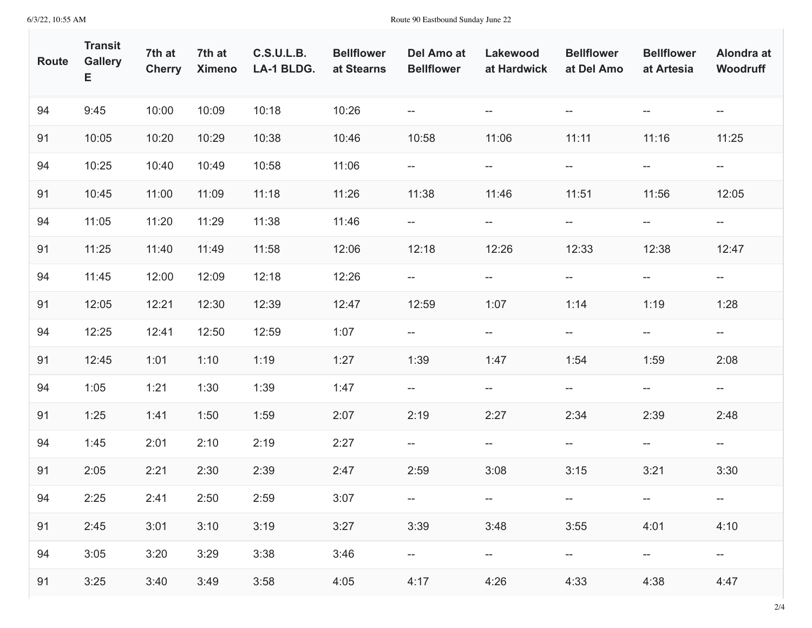| <b>Route</b> | <b>Transit</b><br><b>Gallery</b><br>Е | 7th at<br><b>Cherry</b> | 7th at<br><b>Ximeno</b> | <b>C.S.U.L.B.</b><br>LA-1 BLDG. | <b>Bellflower</b><br>at Stearns | Del Amo at<br><b>Bellflower</b>                     | Lakewood<br>at Hardwick            | <b>Bellflower</b><br>at Del Amo | <b>Bellflower</b><br>at Artesia | Alondra at<br>Woodruff                              |
|--------------|---------------------------------------|-------------------------|-------------------------|---------------------------------|---------------------------------|-----------------------------------------------------|------------------------------------|---------------------------------|---------------------------------|-----------------------------------------------------|
| 94           | 9:45                                  | 10:00                   | 10:09                   | 10:18                           | 10:26                           | $\overline{\phantom{m}}$                            | $\overline{\phantom{m}}$           | $--$                            | $- -$                           | $\hspace{0.05cm} -\hspace{0.05cm} -\hspace{0.05cm}$ |
| 91           | 10:05                                 | 10:20                   | 10:29                   | 10:38                           | 10:46                           | 10:58                                               | 11:06                              | 11:11                           | 11:16                           | 11:25                                               |
| 94           | 10:25                                 | 10:40                   | 10:49                   | 10:58                           | 11:06                           | --                                                  | $-\!$                              | $\overline{\phantom{a}}$        | $\overline{\phantom{a}}$        | $\hspace{0.05cm} \dashv$                            |
| 91           | 10:45                                 | 11:00                   | 11:09                   | 11:18                           | 11:26                           | 11:38                                               | 11:46                              | 11:51                           | 11:56                           | 12:05                                               |
| 94           | 11:05                                 | 11:20                   | 11:29                   | 11:38                           | 11:46                           | $\hspace{0.05cm} -\hspace{0.05cm} -\hspace{0.05cm}$ | $--$                               | $\overline{\phantom{a}}$        | $- -$                           | $- -$                                               |
| 91           | 11:25                                 | 11:40                   | 11:49                   | 11:58                           | 12:06                           | 12:18                                               | 12:26                              | 12:33                           | 12:38                           | 12:47                                               |
| 94           | 11:45                                 | 12:00                   | 12:09                   | 12:18                           | 12:26                           | ÷                                                   | $\overline{\phantom{a}}$           | $--$                            | $\overline{\phantom{a}}$        | $- -$                                               |
| 91           | 12:05                                 | 12:21                   | 12:30                   | 12:39                           | 12:47                           | 12:59                                               | 1:07                               | 1:14                            | 1:19                            | 1:28                                                |
| 94           | 12:25                                 | 12:41                   | 12:50                   | 12:59                           | 1:07                            | $-\!$ $\!-$                                         | $\overline{\phantom{a}}$           | $\overline{\phantom{a}}$        | $- -$                           | $-\!$ $\!-$                                         |
| 91           | 12:45                                 | 1:01                    | 1:10                    | 1:19                            | 1:27                            | 1:39                                                | 1:47                               | 1:54                            | 1:59                            | 2:08                                                |
| 94           | 1:05                                  | 1:21                    | 1:30                    | 1:39                            | 1:47                            | --                                                  | $\overline{\phantom{a}}$           | $\overline{\phantom{a}}$        | $\overline{\phantom{a}}$        | $-\!$ $\!-$                                         |
| 91           | 1:25                                  | 1:41                    | 1:50                    | 1:59                            | 2:07                            | 2:19                                                | 2:27                               | 2:34                            | 2:39                            | 2:48                                                |
| 94           | 1:45                                  | 2:01                    | 2:10                    | 2:19                            | 2:27                            | $-\!$ $\!-$                                         | $\overline{\phantom{a}}$           | $\overline{\phantom{a}}$        | $- -$                           | $- -$                                               |
| 91           | 2:05                                  | 2:21                    | 2:30                    | 2:39                            | 2:47                            | 2:59                                                | 3:08                               | 3:15                            | 3:21                            | 3:30                                                |
| 94           | 2:25                                  | 2:41                    | 2:50                    | 2:59                            | 3:07                            |                                                     | $--$                               |                                 |                                 |                                                     |
| 91           | 2:45                                  | 3:01                    | 3:10                    | 3:19                            | 3:27                            | 3:39                                                | 3:48                               | 3:55                            | 4:01                            | 4:10                                                |
| 94           | 3:05                                  | 3:20                    | 3:29                    | 3:38                            | 3:46                            |                                                     | $\hspace{0.05cm} -\hspace{0.05cm}$ | --                              | $--$                            | $\hspace{0.05cm} -\hspace{0.05cm} -\hspace{0.05cm}$ |
| 91           | 3:25                                  | 3:40                    | 3:49                    | 3:58                            | 4:05                            | 4:17                                                | 4:26                               | 4:33                            | 4:38                            | 4:47                                                |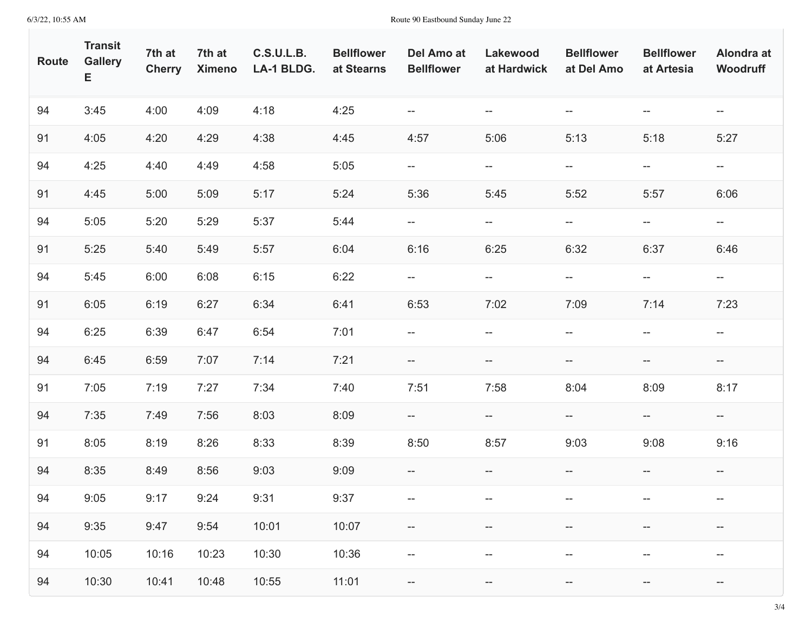| <b>Route</b> | <b>Transit</b><br><b>Gallery</b><br>Е | 7th at<br><b>Cherry</b> | 7th at<br><b>Ximeno</b> | <b>C.S.U.L.B.</b><br>LA-1 BLDG. | <b>Bellflower</b><br>at Stearns | Del Amo at<br><b>Bellflower</b> | Lakewood<br>at Hardwick                             | <b>Bellflower</b><br>at Del Amo                     | <b>Bellflower</b><br>at Artesia | Alondra at<br>Woodruff   |
|--------------|---------------------------------------|-------------------------|-------------------------|---------------------------------|---------------------------------|---------------------------------|-----------------------------------------------------|-----------------------------------------------------|---------------------------------|--------------------------|
| 94           | 3:45                                  | 4:00                    | 4:09                    | 4:18                            | 4:25                            | $-\!$                           | $\hspace{0.05cm} -\hspace{0.05cm} -\hspace{0.05cm}$ | $\hspace{0.05cm} -\hspace{0.05cm} -\hspace{0.05cm}$ | $- -$                           | $\hspace{0.05cm} \dashv$ |
| 91           | 4:05                                  | 4:20                    | 4:29                    | 4:38                            | 4:45                            | 4:57                            | 5:06                                                | 5:13                                                | 5:18                            | 5:27                     |
| 94           | 4:25                                  | 4:40                    | 4:49                    | 4:58                            | 5:05                            | $-\!$                           | $-\!$                                               | $-\!$                                               | $\overline{\phantom{a}}$        | $\hspace{0.05cm} \dashv$ |
| 91           | 4:45                                  | 5:00                    | 5:09                    | 5:17                            | 5:24                            | 5:36                            | 5:45                                                | 5:52                                                | 5:57                            | 6:06                     |
| 94           | 5:05                                  | 5:20                    | 5:29                    | 5:37                            | 5:44                            | $- -$                           | $\overline{\phantom{a}}$                            | $\overline{\phantom{a}}$                            | $- -$                           | $- -$                    |
| 91           | 5:25                                  | 5:40                    | 5:49                    | 5:57                            | 6:04                            | 6:16                            | 6:25                                                | 6:32                                                | 6:37                            | 6:46                     |
| 94           | 5:45                                  | 6:00                    | 6:08                    | 6:15                            | 6:22                            | ÷                               | $\overline{\phantom{a}}$                            | $- -$                                               | $\overline{\phantom{a}}$        | $- -$                    |
| 91           | 6:05                                  | 6:19                    | 6:27                    | 6:34                            | 6:41                            | 6:53                            | 7:02                                                | 7:09                                                | 7:14                            | 7:23                     |
| 94           | 6:25                                  | 6:39                    | 6:47                    | 6:54                            | 7:01                            | $-\!$                           | $-\!$                                               | $-\!$                                               | $\overline{\phantom{a}}$        | $\hspace{0.05cm} \dashv$ |
| 94           | 6:45                                  | 6:59                    | 7:07                    | 7:14                            | 7:21                            | $- -$                           | --                                                  | --                                                  | $\overline{\phantom{a}}$        | $\overline{\phantom{a}}$ |
| 91           | 7:05                                  | 7:19                    | 7:27                    | 7:34                            | 7:40                            | 7:51                            | 7:58                                                | 8:04                                                | 8:09                            | 8:17                     |
| 94           | 7:35                                  | 7:49                    | 7:56                    | 8:03                            | 8:09                            | $- -$                           | $- -$                                               | ÷                                                   | $- -$                           | $\overline{\phantom{a}}$ |
| 91           | 8:05                                  | 8:19                    | 8:26                    | 8:33                            | 8:39                            | 8:50                            | 8:57                                                | 9:03                                                | 9:08                            | 9:16                     |
| 94           | 8:35                                  | 8:49                    | 8:56                    | 9:03                            | 9:09                            | $-\!$                           | $- -$                                               | $\overline{\phantom{a}}$                            | $\overline{\phantom{a}}$        | $\hspace{0.05cm} \dashv$ |
| 94           | 9:05                                  | 9:17                    | 9:24                    | 9:31                            | 9:37                            | $--$                            | $--$                                                | $--$                                                | $--$                            |                          |
| 94           | 9:35                                  | 9:47                    | 9:54                    | 10:01                           | 10:07                           | --                              | --                                                  | --                                                  | --                              | --                       |
| 94           | 10:05                                 | 10:16                   | 10:23                   | 10:30                           | 10:36                           | --                              | $- -$                                               | $- -$                                               | $- -$                           | $-\!$                    |
| 94           | 10:30                                 | 10:41                   | 10:48                   | 10:55                           | 11:01                           | $-\!$                           | $-\!$                                               | --                                                  | $-\!$                           | $-\!$                    |